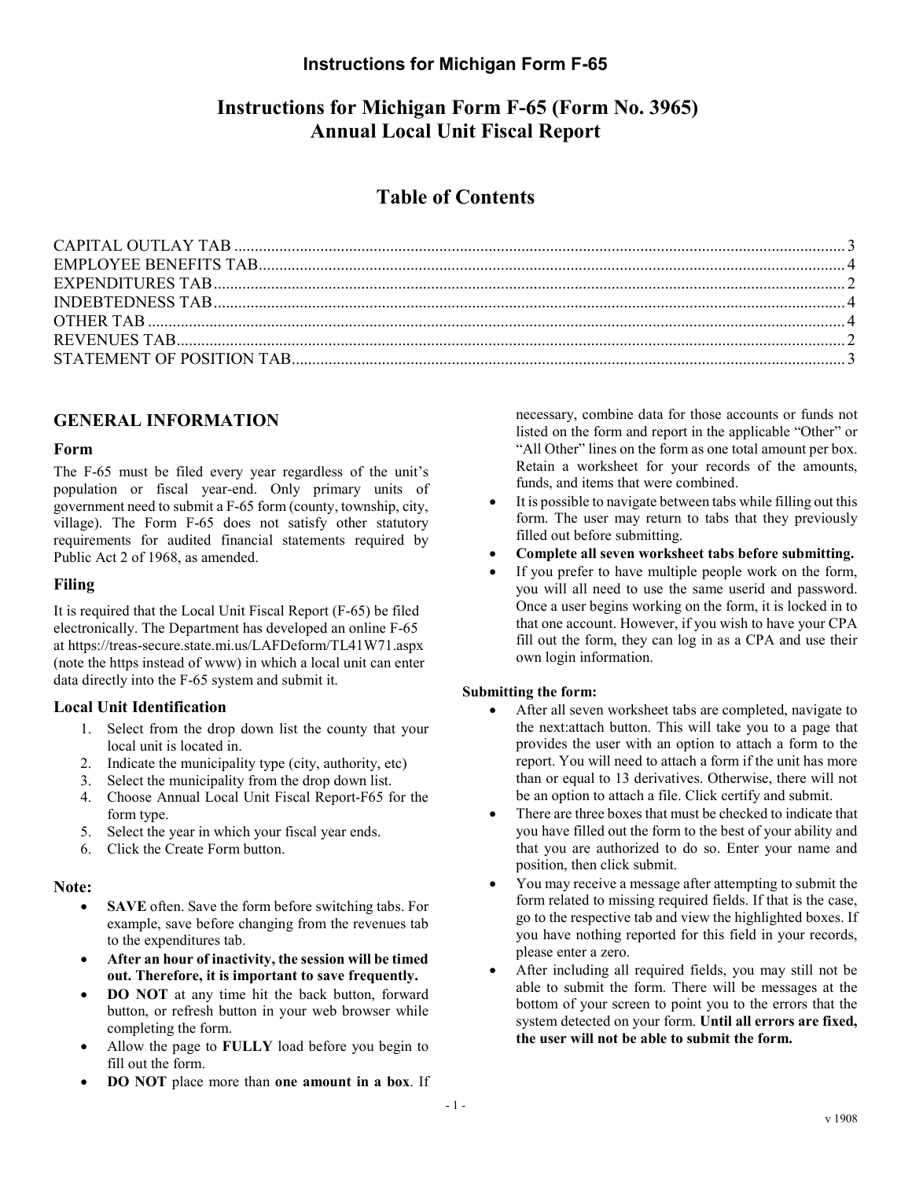# Instructions for Michigan Form F-65 (Form No. 3965) Annual Local Unit Fiscal Report

# Table of Contents

## GENERAL INFORMATION

### Form

The F-65 must be filed every year regardless of the unit's population or fiscal year-end. Only primary units of government need to submit a F-65 form (county, township, city, village). The Form F-65 does not satisfy other statutory requirements for audited financial statements required by Public Act 2 of 1968, as amended.

## Filing

It is required that the Local Unit Fiscal Report (F-65) be filed electronically. The Department has developed an online F-65 at https://treas-secure.state.mi.us/LAFDeform/TL41W71.aspx (note the https instead of www) in which a local unit can enter data directly into the F-65 system and submit it.

## Local Unit Identification

- 1. Select from the drop down list the county that your local unit is located in.
- 2. Indicate the municipality type (city, authority, etc)
- 3. Select the municipality from the drop down list.
- 4. Choose Annual Local Unit Fiscal Report-F65 for the form type.
- 5. Select the year in which your fiscal year ends.
- 6. Click the Create Form button.

### Note:

- SAVE often. Save the form before switching tabs. For example, save before changing from the revenues tab to the expenditures tab.
- After an hour of inactivity, the session will be timed out. Therefore, it is important to save frequently.
- DO NOT at any time hit the back button, forward button, or refresh button in your web browser while completing the form.
- Allow the page to FULLY load before you begin to fill out the form.
- DO NOT place more than one amount in a box. If

necessary, combine data for those accounts or funds not listed on the form and report in the applicable "Other" or "All Other" lines on the form as one total amount per box. Retain a worksheet for your records of the amounts, funds, and items that were combined.

- It is possible to navigate between tabs while filling out this form. The user may return to tabs that they previously filled out before submitting.
- Complete all seven worksheet tabs before submitting.
- If you prefer to have multiple people work on the form, you will all need to use the same userid and password. Once a user begins working on the form, it is locked in to that one account. However, if you wish to have your CPA fill out the form, they can log in as a CPA and use their own login information.

### Submitting the form:

- After all seven worksheet tabs are completed, navigate to the next:attach button. This will take you to a page that provides the user with an option to attach a form to the report. You will need to attach a form if the unit has more than or equal to 13 derivatives. Otherwise, there will not be an option to attach a file. Click certify and submit.
- There are three boxes that must be checked to indicate that you have filled out the form to the best of your ability and that you are authorized to do so. Enter your name and position, then click submit.
- You may receive a message after attempting to submit the form related to missing required fields. If that is the case, go to the respective tab and view the highlighted boxes. If you have nothing reported for this field in your records, please enter a zero.
- After including all required fields, you may still not be able to submit the form. There will be messages at the bottom of your screen to point you to the errors that the system detected on your form. Until all errors are fixed, the user will not be able to submit the form.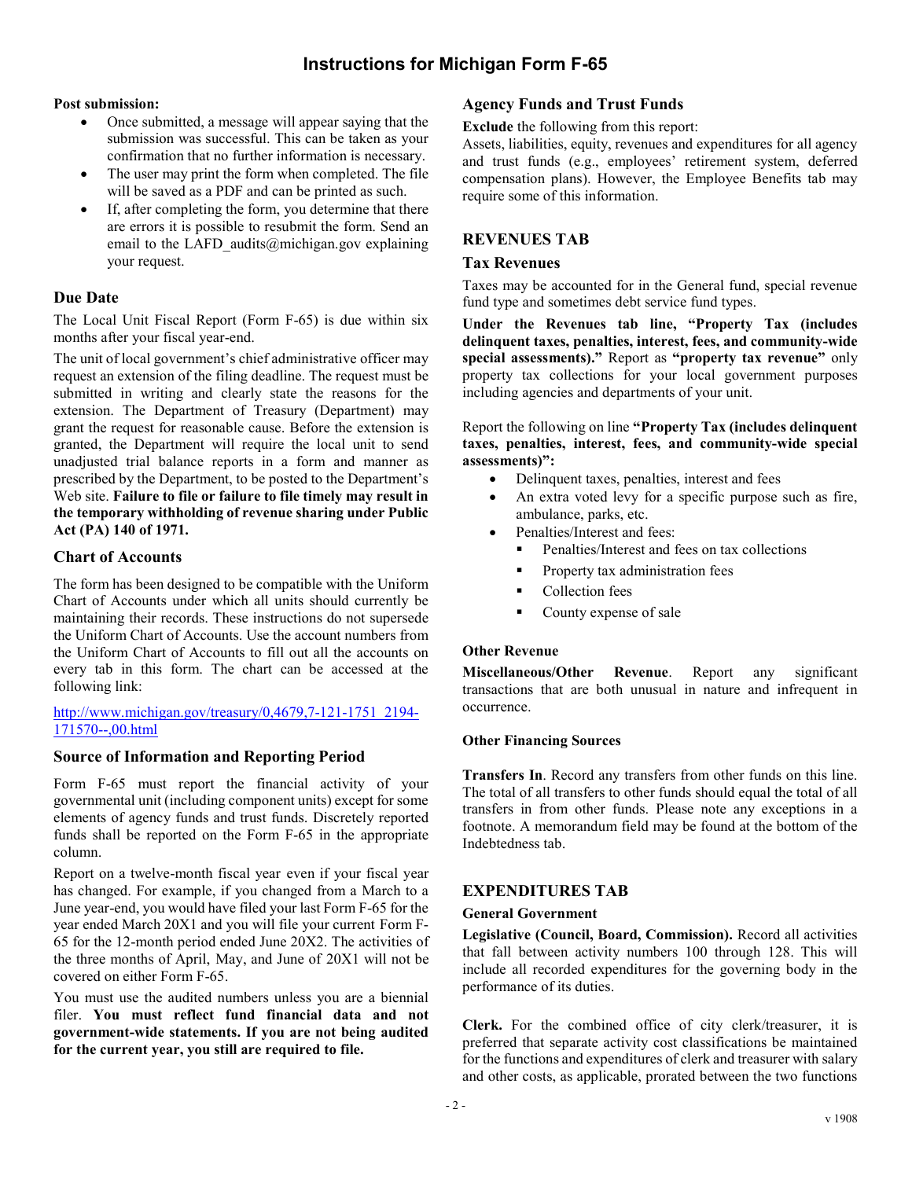### Post submission:

- Once submitted, a message will appear saying that the submission was successful. This can be taken as your confirmation that no further information is necessary.
- The user may print the form when completed. The file will be saved as a PDF and can be printed as such.
- If, after completing the form, you determine that there are errors it is possible to resubmit the form. Send an email to the LAFD audits@michigan.gov explaining your request.

### Due Date

The Local Unit Fiscal Report (Form F-65) is due within six months after your fiscal year-end.

The unit of local government's chief administrative officer may request an extension of the filing deadline. The request must be submitted in writing and clearly state the reasons for the extension. The Department of Treasury (Department) may grant the request for reasonable cause. Before the extension is granted, the Department will require the local unit to send unadjusted trial balance reports in a form and manner as prescribed by the Department, to be posted to the Department's Web site. Failure to file or failure to file timely may result in the temporary withholding of revenue sharing under Public Act (PA) 140 of 1971.

## Chart of Accounts

The form has been designed to be compatible with the Uniform Chart of Accounts under which all units should currently be maintaining their records. These instructions do not supersede the Uniform Chart of Accounts. Use the account numbers from the Uniform Chart of Accounts to fill out all the accounts on every tab in this form. The chart can be accessed at the following link:

http://www.michigan.gov/treasury/0,4679,7-121-1751\_2194- 171570--,00.html

## Source of Information and Reporting Period

Form F-65 must report the financial activity of your governmental unit (including component units) except for some elements of agency funds and trust funds. Discretely reported funds shall be reported on the Form F-65 in the appropriate column.

Report on a twelve-month fiscal year even if your fiscal year has changed. For example, if you changed from a March to a June year-end, you would have filed your last Form F-65 for the year ended March 20X1 and you will file your current Form F-65 for the 12-month period ended June 20X2. The activities of the three months of April, May, and June of 20X1 will not be covered on either Form F-65.

You must use the audited numbers unless you are a biennial filer. You must reflect fund financial data and not government-wide statements. If you are not being audited for the current year, you still are required to file.

### Agency Funds and Trust Funds

Exclude the following from this report:

Assets, liabilities, equity, revenues and expenditures for all agency and trust funds (e.g., employees' retirement system, deferred compensation plans). However, the Employee Benefits tab may require some of this information.

## REVENUES TAB

### Tax Revenues

Taxes may be accounted for in the General fund, special revenue fund type and sometimes debt service fund types.

Under the Revenues tab line, "Property Tax (includes delinquent taxes, penalties, interest, fees, and community-wide special assessments)." Report as "property tax revenue" only property tax collections for your local government purposes including agencies and departments of your unit.

Report the following on line "Property Tax (includes delinquent taxes, penalties, interest, fees, and community-wide special assessments)":

- Delinquent taxes, penalties, interest and fees
- An extra voted levy for a specific purpose such as fire, ambulance, parks, etc.
- Penalties/Interest and fees:
	- Penalties/Interest and fees on tax collections
	- Property tax administration fees
	- **Collection fees**
	- **County expense of sale**

### Other Revenue

Miscellaneous/Other Revenue. Report any significant transactions that are both unusual in nature and infrequent in occurrence.

#### Other Financing Sources

Transfers In. Record any transfers from other funds on this line. The total of all transfers to other funds should equal the total of all transfers in from other funds. Please note any exceptions in a footnote. A memorandum field may be found at the bottom of the Indebtedness tab.

### EXPENDITURES TAB

#### General Government

Legislative (Council, Board, Commission). Record all activities that fall between activity numbers 100 through 128. This will include all recorded expenditures for the governing body in the performance of its duties.

Clerk. For the combined office of city clerk/treasurer, it is preferred that separate activity cost classifications be maintained for the functions and expenditures of clerk and treasurer with salary and other costs, as applicable, prorated between the two functions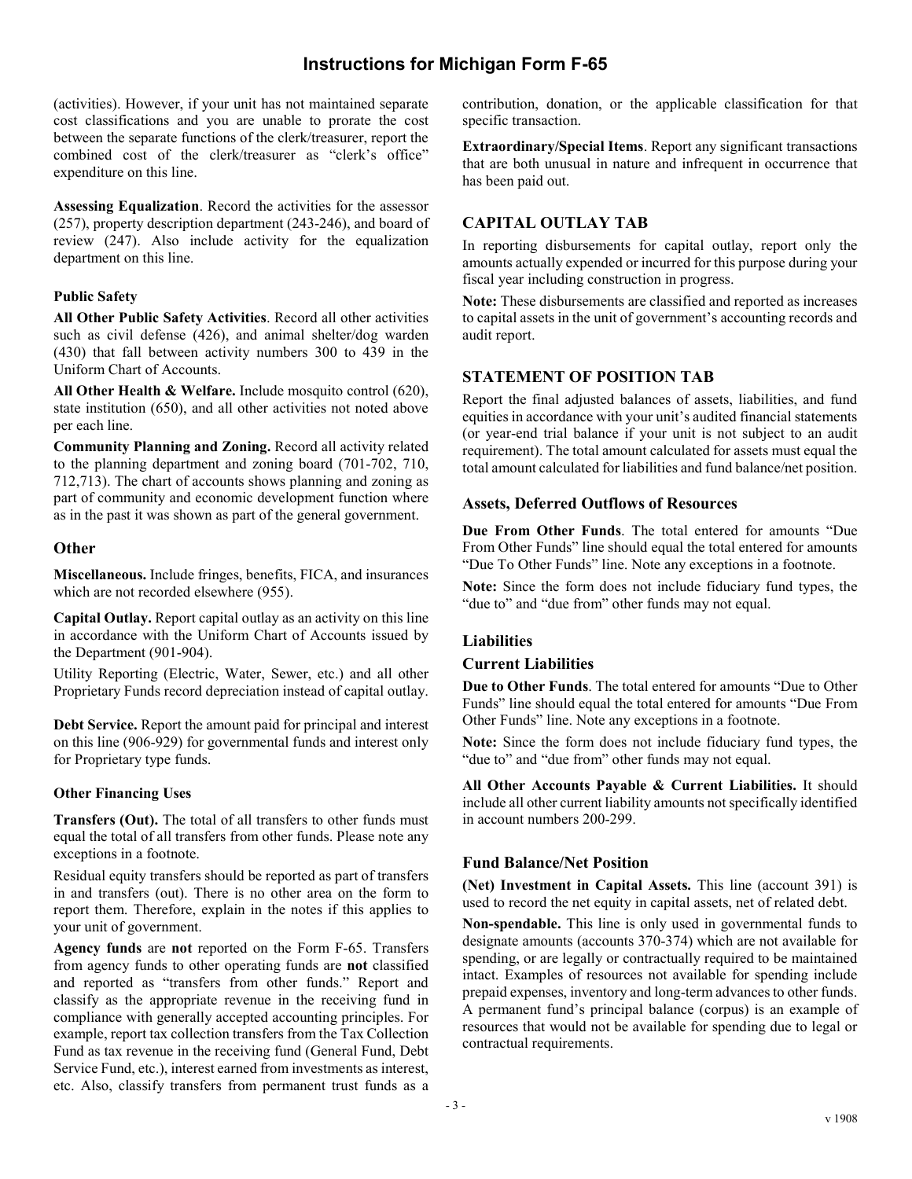(activities). However, if your unit has not maintained separate cost classifications and you are unable to prorate the cost between the separate functions of the clerk/treasurer, report the combined cost of the clerk/treasurer as "clerk's office" expenditure on this line.

Assessing Equalization. Record the activities for the assessor (257), property description department (243-246), and board of review (247). Also include activity for the equalization department on this line.

### Public Safety

All Other Public Safety Activities. Record all other activities such as civil defense (426), and animal shelter/dog warden (430) that fall between activity numbers 300 to 439 in the Uniform Chart of Accounts.

All Other Health & Welfare. Include mosquito control (620), state institution (650), and all other activities not noted above per each line.

Community Planning and Zoning. Record all activity related to the planning department and zoning board (701-702, 710, 712,713). The chart of accounts shows planning and zoning as part of community and economic development function where as in the past it was shown as part of the general government.

### **Other**

Miscellaneous. Include fringes, benefits, FICA, and insurances which are not recorded elsewhere (955).

Capital Outlay. Report capital outlay as an activity on this line in accordance with the Uniform Chart of Accounts issued by the Department (901-904).

Utility Reporting (Electric, Water, Sewer, etc.) and all other Proprietary Funds record depreciation instead of capital outlay.

Debt Service. Report the amount paid for principal and interest on this line (906-929) for governmental funds and interest only for Proprietary type funds.

#### Other Financing Uses

Transfers (Out). The total of all transfers to other funds must equal the total of all transfers from other funds. Please note any exceptions in a footnote.

Residual equity transfers should be reported as part of transfers in and transfers (out). There is no other area on the form to report them. Therefore, explain in the notes if this applies to your unit of government.

Agency funds are not reported on the Form F-65. Transfers from agency funds to other operating funds are not classified and reported as "transfers from other funds." Report and classify as the appropriate revenue in the receiving fund in compliance with generally accepted accounting principles. For example, report tax collection transfers from the Tax Collection Fund as tax revenue in the receiving fund (General Fund, Debt Service Fund, etc.), interest earned from investments as interest, etc. Also, classify transfers from permanent trust funds as a contribution, donation, or the applicable classification for that specific transaction.

Extraordinary/Special Items. Report any significant transactions that are both unusual in nature and infrequent in occurrence that has been paid out.

## CAPITAL OUTLAY TAB

In reporting disbursements for capital outlay, report only the amounts actually expended or incurred for this purpose during your fiscal year including construction in progress.

Note: These disbursements are classified and reported as increases to capital assets in the unit of government's accounting records and audit report.

## STATEMENT OF POSITION TAB

Report the final adjusted balances of assets, liabilities, and fund equities in accordance with your unit's audited financial statements (or year-end trial balance if your unit is not subject to an audit requirement). The total amount calculated for assets must equal the total amount calculated for liabilities and fund balance/net position.

### Assets, Deferred Outflows of Resources

Due From Other Funds. The total entered for amounts "Due From Other Funds" line should equal the total entered for amounts "Due To Other Funds" line. Note any exceptions in a footnote.

Note: Since the form does not include fiduciary fund types, the "due to" and "due from" other funds may not equal.

### Liabilities

#### Current Liabilities

Due to Other Funds. The total entered for amounts "Due to Other Funds" line should equal the total entered for amounts "Due From Other Funds" line. Note any exceptions in a footnote.

Note: Since the form does not include fiduciary fund types, the "due to" and "due from" other funds may not equal.

All Other Accounts Payable & Current Liabilities. It should include all other current liability amounts not specifically identified in account numbers 200-299.

### Fund Balance/Net Position

(Net) Investment in Capital Assets. This line (account 391) is used to record the net equity in capital assets, net of related debt.

Non-spendable. This line is only used in governmental funds to designate amounts (accounts 370-374) which are not available for spending, or are legally or contractually required to be maintained intact. Examples of resources not available for spending include prepaid expenses, inventory and long-term advances to other funds. A permanent fund's principal balance (corpus) is an example of resources that would not be available for spending due to legal or contractual requirements.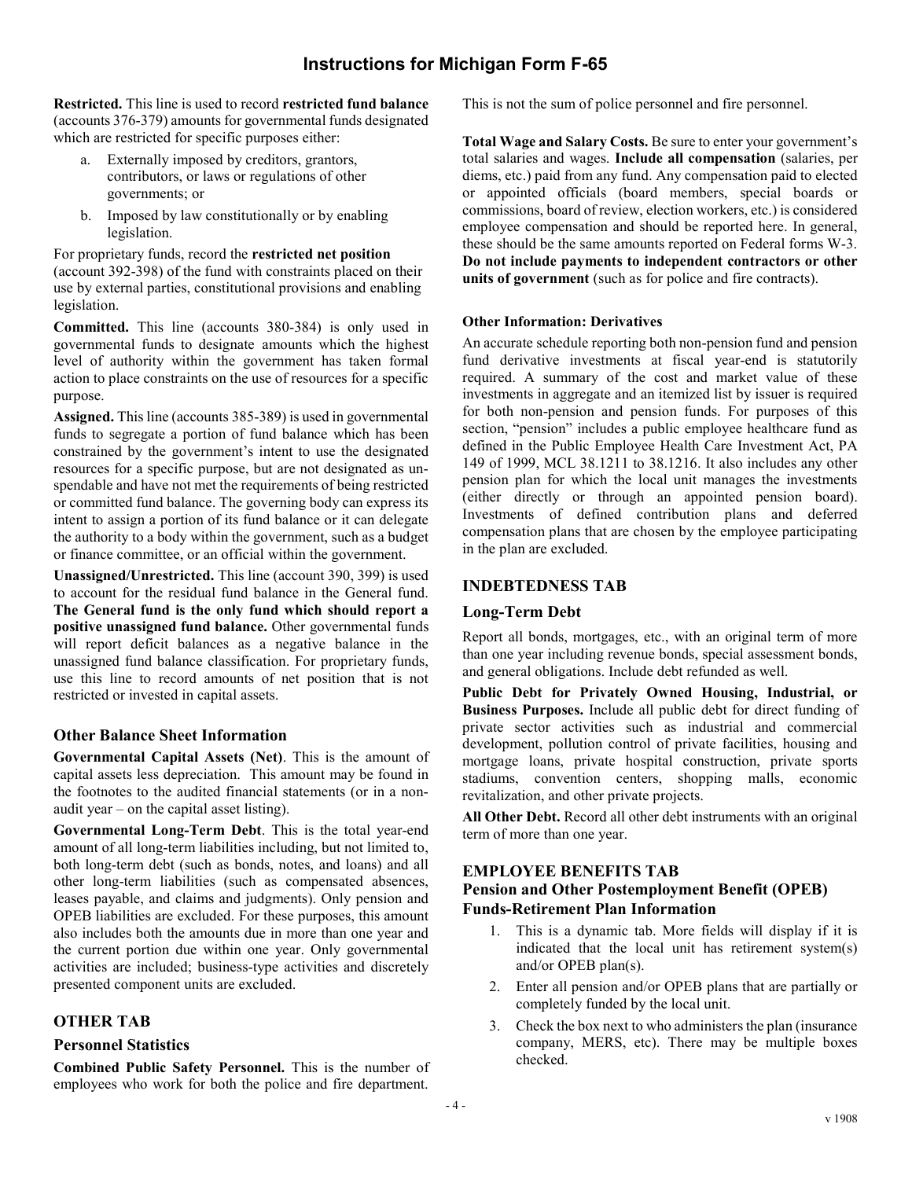Restricted. This line is used to record restricted fund balance (accounts 376-379) amounts for governmental funds designated which are restricted for specific purposes either:

- a. Externally imposed by creditors, grantors, contributors, or laws or regulations of other governments; or
- b. Imposed by law constitutionally or by enabling legislation.

For proprietary funds, record the restricted net position (account 392-398) of the fund with constraints placed on their use by external parties, constitutional provisions and enabling legislation.

Committed. This line (accounts 380-384) is only used in governmental funds to designate amounts which the highest level of authority within the government has taken formal action to place constraints on the use of resources for a specific purpose.

Assigned. This line (accounts 385-389) is used in governmental funds to segregate a portion of fund balance which has been constrained by the government's intent to use the designated resources for a specific purpose, but are not designated as unspendable and have not met the requirements of being restricted or committed fund balance. The governing body can express its intent to assign a portion of its fund balance or it can delegate the authority to a body within the government, such as a budget or finance committee, or an official within the government.

Unassigned/Unrestricted. This line (account 390, 399) is used to account for the residual fund balance in the General fund. The General fund is the only fund which should report a positive unassigned fund balance. Other governmental funds will report deficit balances as a negative balance in the unassigned fund balance classification. For proprietary funds, use this line to record amounts of net position that is not restricted or invested in capital assets.

## Other Balance Sheet Information

Governmental Capital Assets (Net). This is the amount of capital assets less depreciation. This amount may be found in the footnotes to the audited financial statements (or in a nonaudit year – on the capital asset listing).

Governmental Long-Term Debt. This is the total year-end amount of all long-term liabilities including, but not limited to, both long-term debt (such as bonds, notes, and loans) and all other long-term liabilities (such as compensated absences, leases payable, and claims and judgments). Only pension and OPEB liabilities are excluded. For these purposes, this amount also includes both the amounts due in more than one year and the current portion due within one year. Only governmental activities are included; business-type activities and discretely presented component units are excluded.

### OTHER TAB

### Personnel Statistics

Combined Public Safety Personnel. This is the number of employees who work for both the police and fire department.

This is not the sum of police personnel and fire personnel.

Total Wage and Salary Costs. Be sure to enter your government's total salaries and wages. Include all compensation (salaries, per diems, etc.) paid from any fund. Any compensation paid to elected or appointed officials (board members, special boards or commissions, board of review, election workers, etc.) is considered employee compensation and should be reported here. In general, these should be the same amounts reported on Federal forms W-3. Do not include payments to independent contractors or other units of government (such as for police and fire contracts).

### Other Information: Derivatives

An accurate schedule reporting both non-pension fund and pension fund derivative investments at fiscal year-end is statutorily required. A summary of the cost and market value of these investments in aggregate and an itemized list by issuer is required for both non-pension and pension funds. For purposes of this section, "pension" includes a public employee healthcare fund as defined in the Public Employee Health Care Investment Act, PA 149 of 1999, MCL 38.1211 to 38.1216. It also includes any other pension plan for which the local unit manages the investments (either directly or through an appointed pension board). Investments of defined contribution plans and deferred compensation plans that are chosen by the employee participating in the plan are excluded.

## INDEBTEDNESS TAB

## Long-Term Debt

Report all bonds, mortgages, etc., with an original term of more than one year including revenue bonds, special assessment bonds, and general obligations. Include debt refunded as well.

Public Debt for Privately Owned Housing, Industrial, or Business Purposes. Include all public debt for direct funding of private sector activities such as industrial and commercial development, pollution control of private facilities, housing and mortgage loans, private hospital construction, private sports stadiums, convention centers, shopping malls, economic revitalization, and other private projects.

All Other Debt. Record all other debt instruments with an original term of more than one year.

### EMPLOYEE BENEFITS TAB

## Pension and Other Postemployment Benefit (OPEB) Funds-Retirement Plan Information

- 1. This is a dynamic tab. More fields will display if it is indicated that the local unit has retirement system(s) and/or OPEB plan(s).
- 2. Enter all pension and/or OPEB plans that are partially or completely funded by the local unit.
- 3. Check the box next to who administers the plan (insurance company, MERS, etc). There may be multiple boxes checked.